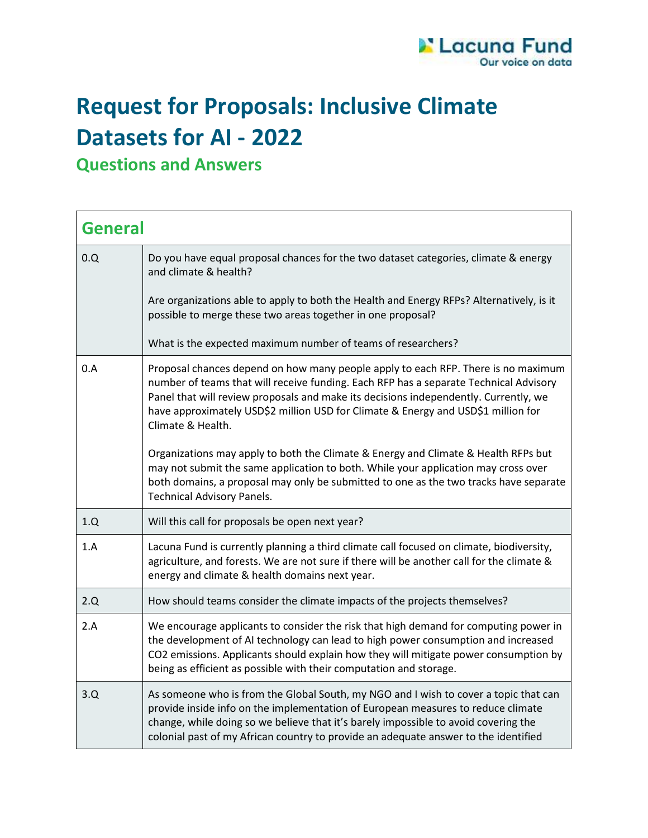

## **Request for Proposals: Inclusive Climate Datasets for AI - 2022**

**Questions and Answers** 

| <b>General</b> |                                                                                                                                                                                                                                                                                                                                                                              |  |
|----------------|------------------------------------------------------------------------------------------------------------------------------------------------------------------------------------------------------------------------------------------------------------------------------------------------------------------------------------------------------------------------------|--|
| 0.0            | Do you have equal proposal chances for the two dataset categories, climate & energy<br>and climate & health?                                                                                                                                                                                                                                                                 |  |
|                | Are organizations able to apply to both the Health and Energy RFPs? Alternatively, is it<br>possible to merge these two areas together in one proposal?                                                                                                                                                                                                                      |  |
|                | What is the expected maximum number of teams of researchers?                                                                                                                                                                                                                                                                                                                 |  |
| 0.A            | Proposal chances depend on how many people apply to each RFP. There is no maximum<br>number of teams that will receive funding. Each RFP has a separate Technical Advisory<br>Panel that will review proposals and make its decisions independently. Currently, we<br>have approximately USD\$2 million USD for Climate & Energy and USD\$1 million for<br>Climate & Health. |  |
|                | Organizations may apply to both the Climate & Energy and Climate & Health RFPs but<br>may not submit the same application to both. While your application may cross over<br>both domains, a proposal may only be submitted to one as the two tracks have separate<br><b>Technical Advisory Panels.</b>                                                                       |  |
| 1.Q            | Will this call for proposals be open next year?                                                                                                                                                                                                                                                                                                                              |  |
| 1.A            | Lacuna Fund is currently planning a third climate call focused on climate, biodiversity,<br>agriculture, and forests. We are not sure if there will be another call for the climate &<br>energy and climate & health domains next year.                                                                                                                                      |  |
| 2.Q            | How should teams consider the climate impacts of the projects themselves?                                                                                                                                                                                                                                                                                                    |  |
| 2.A            | We encourage applicants to consider the risk that high demand for computing power in<br>the development of AI technology can lead to high power consumption and increased<br>CO2 emissions. Applicants should explain how they will mitigate power consumption by<br>being as efficient as possible with their computation and storage.                                      |  |
| 3.Q            | As someone who is from the Global South, my NGO and I wish to cover a topic that can<br>provide inside info on the implementation of European measures to reduce climate<br>change, while doing so we believe that it's barely impossible to avoid covering the<br>colonial past of my African country to provide an adequate answer to the identified                       |  |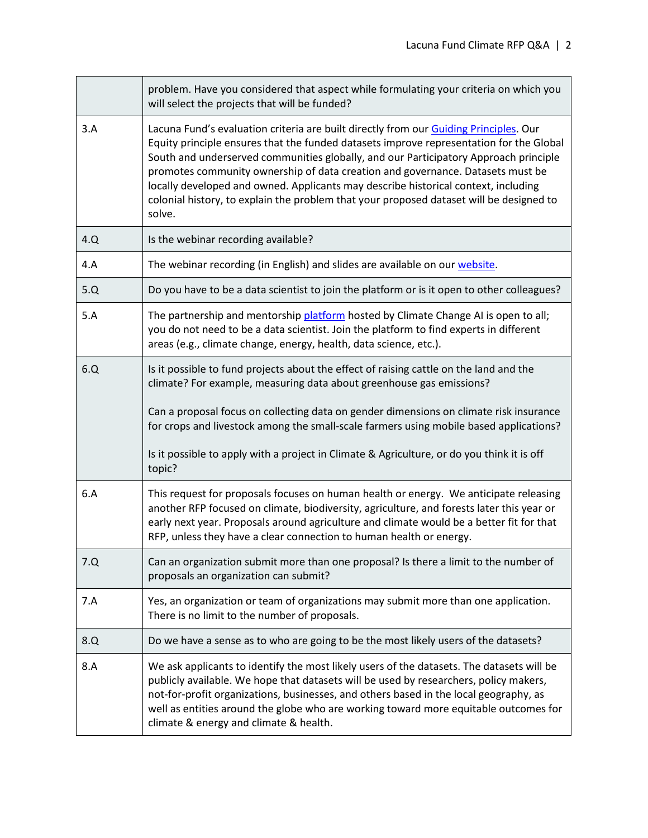|     | problem. Have you considered that aspect while formulating your criteria on which you<br>will select the projects that will be funded?                                                                                                                                                                                                                                                                                                                                                                                                                |
|-----|-------------------------------------------------------------------------------------------------------------------------------------------------------------------------------------------------------------------------------------------------------------------------------------------------------------------------------------------------------------------------------------------------------------------------------------------------------------------------------------------------------------------------------------------------------|
| 3.A | Lacuna Fund's evaluation criteria are built directly from our Guiding Principles. Our<br>Equity principle ensures that the funded datasets improve representation for the Global<br>South and underserved communities globally, and our Participatory Approach principle<br>promotes community ownership of data creation and governance. Datasets must be<br>locally developed and owned. Applicants may describe historical context, including<br>colonial history, to explain the problem that your proposed dataset will be designed to<br>solve. |
| 4.Q | Is the webinar recording available?                                                                                                                                                                                                                                                                                                                                                                                                                                                                                                                   |
| 4.A | The webinar recording (in English) and slides are available on our website.                                                                                                                                                                                                                                                                                                                                                                                                                                                                           |
| 5.Q | Do you have to be a data scientist to join the platform or is it open to other colleagues?                                                                                                                                                                                                                                                                                                                                                                                                                                                            |
| 5.A | The partnership and mentorship platform hosted by Climate Change AI is open to all;<br>you do not need to be a data scientist. Join the platform to find experts in different<br>areas (e.g., climate change, energy, health, data science, etc.).                                                                                                                                                                                                                                                                                                    |
| 6.Q | Is it possible to fund projects about the effect of raising cattle on the land and the<br>climate? For example, measuring data about greenhouse gas emissions?<br>Can a proposal focus on collecting data on gender dimensions on climate risk insurance<br>for crops and livestock among the small-scale farmers using mobile based applications?<br>Is it possible to apply with a project in Climate & Agriculture, or do you think it is off<br>topic?                                                                                            |
| 6.A | This request for proposals focuses on human health or energy. We anticipate releasing<br>another RFP focused on climate, biodiversity, agriculture, and forests later this year or<br>early next year. Proposals around agriculture and climate would be a better fit for that<br>RFP, unless they have a clear connection to human health or energy.                                                                                                                                                                                                 |
| 7.Q | Can an organization submit more than one proposal? Is there a limit to the number of<br>proposals an organization can submit?                                                                                                                                                                                                                                                                                                                                                                                                                         |
| 7.A | Yes, an organization or team of organizations may submit more than one application.<br>There is no limit to the number of proposals.                                                                                                                                                                                                                                                                                                                                                                                                                  |
| 8.Q | Do we have a sense as to who are going to be the most likely users of the datasets?                                                                                                                                                                                                                                                                                                                                                                                                                                                                   |
| 8.A | We ask applicants to identify the most likely users of the datasets. The datasets will be<br>publicly available. We hope that datasets will be used by researchers, policy makers,<br>not-for-profit organizations, businesses, and others based in the local geography, as<br>well as entities around the globe who are working toward more equitable outcomes for<br>climate & energy and climate & health.                                                                                                                                         |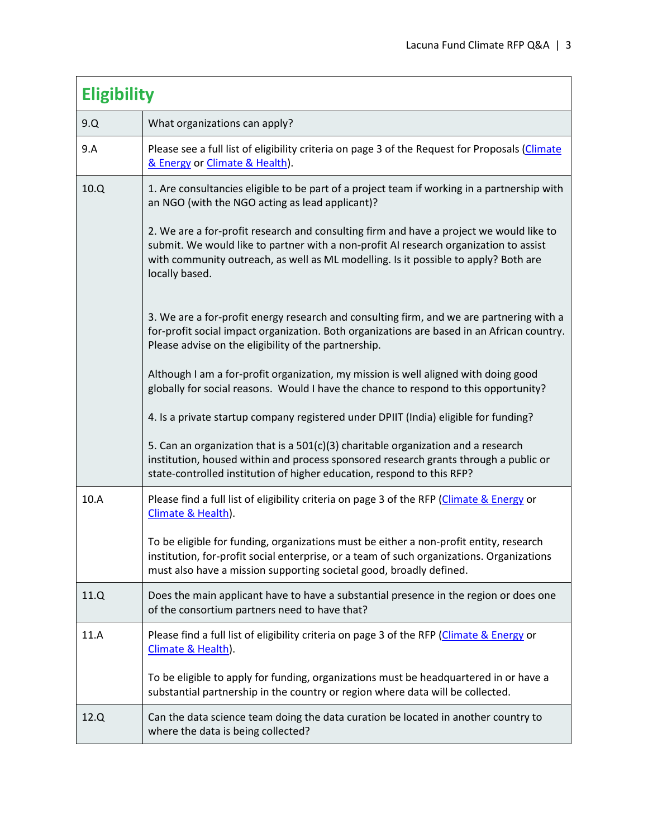| <b>Eligibility</b> |                                                                                                                                                                                                                                                                                           |
|--------------------|-------------------------------------------------------------------------------------------------------------------------------------------------------------------------------------------------------------------------------------------------------------------------------------------|
| 9.Q                | What organizations can apply?                                                                                                                                                                                                                                                             |
| 9.A                | Please see a full list of eligibility criteria on page 3 of the Request for Proposals (Climate<br>& Energy or Climate & Health).                                                                                                                                                          |
| 10.Q               | 1. Are consultancies eligible to be part of a project team if working in a partnership with<br>an NGO (with the NGO acting as lead applicant)?                                                                                                                                            |
|                    | 2. We are a for-profit research and consulting firm and have a project we would like to<br>submit. We would like to partner with a non-profit AI research organization to assist<br>with community outreach, as well as ML modelling. Is it possible to apply? Both are<br>locally based. |
|                    | 3. We are a for-profit energy research and consulting firm, and we are partnering with a<br>for-profit social impact organization. Both organizations are based in an African country.<br>Please advise on the eligibility of the partnership.                                            |
|                    | Although I am a for-profit organization, my mission is well aligned with doing good<br>globally for social reasons. Would I have the chance to respond to this opportunity?                                                                                                               |
|                    | 4. Is a private startup company registered under DPIIT (India) eligible for funding?                                                                                                                                                                                                      |
|                    | 5. Can an organization that is a 501(c)(3) charitable organization and a research<br>institution, housed within and process sponsored research grants through a public or<br>state-controlled institution of higher education, respond to this RFP?                                       |
| 10.A               | Please find a full list of eligibility criteria on page 3 of the RFP (Climate & Energy or<br>Climate & Health).                                                                                                                                                                           |
|                    | To be eligible for funding, organizations must be either a non-profit entity, research<br>institution, for-profit social enterprise, or a team of such organizations. Organizations<br>must also have a mission supporting societal good, broadly defined.                                |
| 11.Q               | Does the main applicant have to have a substantial presence in the region or does one<br>of the consortium partners need to have that?                                                                                                                                                    |
| 11.A               | Please find a full list of eligibility criteria on page 3 of the RFP (Climate & Energy or<br>Climate & Health).                                                                                                                                                                           |
|                    | To be eligible to apply for funding, organizations must be headquartered in or have a<br>substantial partnership in the country or region where data will be collected.                                                                                                                   |
| 12.Q               | Can the data science team doing the data curation be located in another country to<br>where the data is being collected?                                                                                                                                                                  |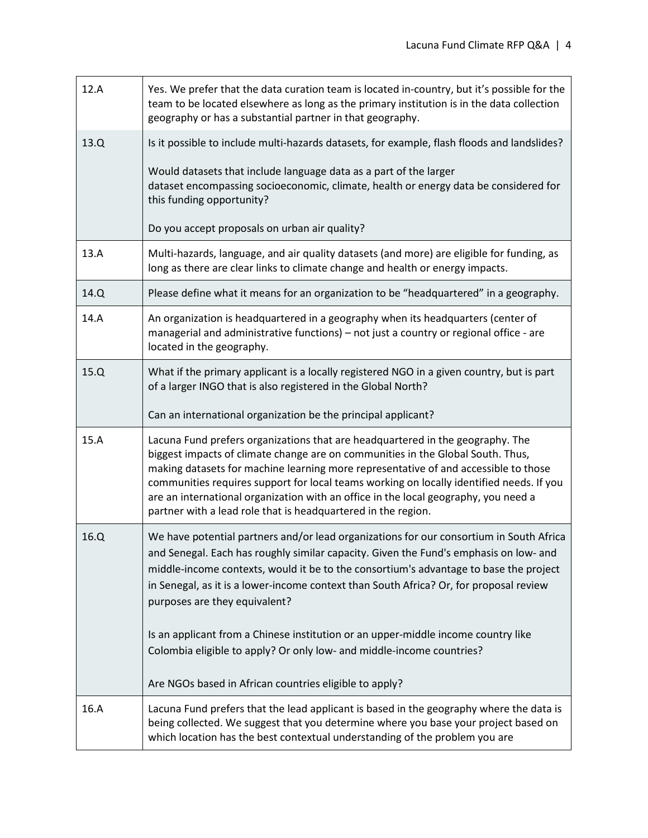| 12.A | Yes. We prefer that the data curation team is located in-country, but it's possible for the<br>team to be located elsewhere as long as the primary institution is in the data collection<br>geography or has a substantial partner in that geography.                                                                                                                                                                                                                                                        |
|------|--------------------------------------------------------------------------------------------------------------------------------------------------------------------------------------------------------------------------------------------------------------------------------------------------------------------------------------------------------------------------------------------------------------------------------------------------------------------------------------------------------------|
| 13.Q | Is it possible to include multi-hazards datasets, for example, flash floods and landslides?                                                                                                                                                                                                                                                                                                                                                                                                                  |
|      | Would datasets that include language data as a part of the larger<br>dataset encompassing socioeconomic, climate, health or energy data be considered for<br>this funding opportunity?                                                                                                                                                                                                                                                                                                                       |
|      | Do you accept proposals on urban air quality?                                                                                                                                                                                                                                                                                                                                                                                                                                                                |
| 13.A | Multi-hazards, language, and air quality datasets (and more) are eligible for funding, as<br>long as there are clear links to climate change and health or energy impacts.                                                                                                                                                                                                                                                                                                                                   |
| 14.Q | Please define what it means for an organization to be "headquartered" in a geography.                                                                                                                                                                                                                                                                                                                                                                                                                        |
| 14.A | An organization is headquartered in a geography when its headquarters (center of<br>managerial and administrative functions) - not just a country or regional office - are<br>located in the geography.                                                                                                                                                                                                                                                                                                      |
| 15.Q | What if the primary applicant is a locally registered NGO in a given country, but is part<br>of a larger INGO that is also registered in the Global North?                                                                                                                                                                                                                                                                                                                                                   |
|      | Can an international organization be the principal applicant?                                                                                                                                                                                                                                                                                                                                                                                                                                                |
| 15.A | Lacuna Fund prefers organizations that are headquartered in the geography. The<br>biggest impacts of climate change are on communities in the Global South. Thus,<br>making datasets for machine learning more representative of and accessible to those<br>communities requires support for local teams working on locally identified needs. If you<br>are an international organization with an office in the local geography, you need a<br>partner with a lead role that is headquartered in the region. |
| 16.Q | We have potential partners and/or lead organizations for our consortium in South Africa<br>and Senegal. Each has roughly similar capacity. Given the Fund's emphasis on low- and<br>middle-income contexts, would it be to the consortium's advantage to base the project<br>in Senegal, as it is a lower-income context than South Africa? Or, for proposal review<br>purposes are they equivalent?                                                                                                         |
|      | Is an applicant from a Chinese institution or an upper-middle income country like<br>Colombia eligible to apply? Or only low- and middle-income countries?                                                                                                                                                                                                                                                                                                                                                   |
|      | Are NGOs based in African countries eligible to apply?                                                                                                                                                                                                                                                                                                                                                                                                                                                       |
| 16.A | Lacuna Fund prefers that the lead applicant is based in the geography where the data is<br>being collected. We suggest that you determine where you base your project based on<br>which location has the best contextual understanding of the problem you are                                                                                                                                                                                                                                                |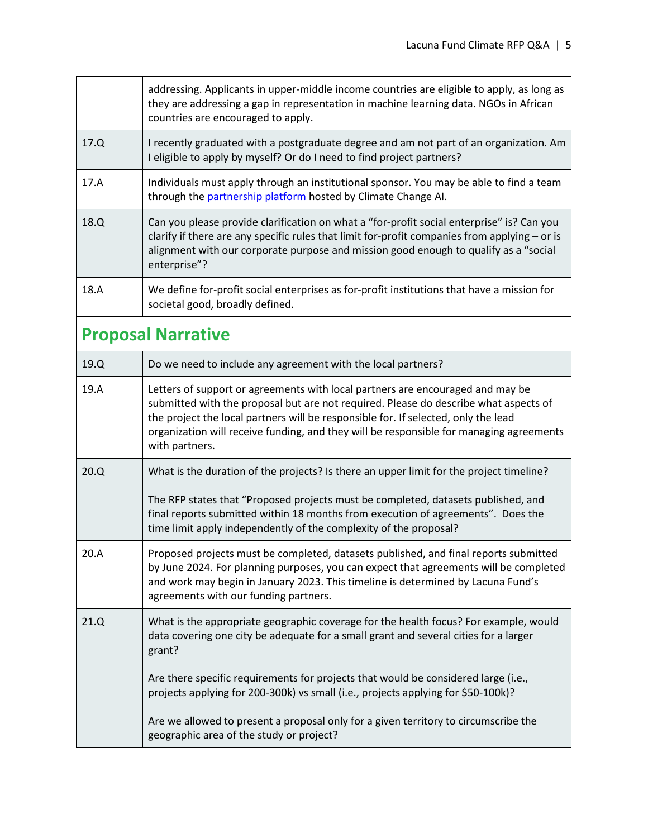|                           | addressing. Applicants in upper-middle income countries are eligible to apply, as long as<br>they are addressing a gap in representation in machine learning data. NGOs in African<br>countries are encouraged to apply.                                                                                                                                                  |
|---------------------------|---------------------------------------------------------------------------------------------------------------------------------------------------------------------------------------------------------------------------------------------------------------------------------------------------------------------------------------------------------------------------|
| 17.Q                      | I recently graduated with a postgraduate degree and am not part of an organization. Am<br>I eligible to apply by myself? Or do I need to find project partners?                                                                                                                                                                                                           |
| 17.A                      | Individuals must apply through an institutional sponsor. You may be able to find a team<br>through the partnership platform hosted by Climate Change AI.                                                                                                                                                                                                                  |
| 18.Q                      | Can you please provide clarification on what a "for-profit social enterprise" is? Can you<br>clarify if there are any specific rules that limit for-profit companies from applying - or is<br>alignment with our corporate purpose and mission good enough to qualify as a "social<br>enterprise"?                                                                        |
| 18.A                      | We define for-profit social enterprises as for-profit institutions that have a mission for<br>societal good, broadly defined.                                                                                                                                                                                                                                             |
| <b>Proposal Narrative</b> |                                                                                                                                                                                                                                                                                                                                                                           |
| 19.Q                      | Do we need to include any agreement with the local partners?                                                                                                                                                                                                                                                                                                              |
| 19.A                      | Letters of support or agreements with local partners are encouraged and may be<br>submitted with the proposal but are not required. Please do describe what aspects of<br>the project the local partners will be responsible for. If selected, only the lead<br>organization will receive funding, and they will be responsible for managing agreements<br>with partners. |
| 20.Q                      | What is the duration of the projects? Is there an upper limit for the project timeline?                                                                                                                                                                                                                                                                                   |
|                           | The RFP states that "Proposed projects must be completed, datasets published, and<br>final reports submitted within 18 months from execution of agreements". Does the<br>time limit apply independently of the complexity of the proposal?                                                                                                                                |
| 20.A                      | Proposed projects must be completed, datasets published, and final reports submitted<br>by June 2024. For planning purposes, you can expect that agreements will be completed<br>and work may begin in January 2023. This timeline is determined by Lacuna Fund's<br>agreements with our funding partners.                                                                |
| 21.Q                      | What is the appropriate geographic coverage for the health focus? For example, would<br>data covering one city be adequate for a small grant and several cities for a larger<br>grant?                                                                                                                                                                                    |
|                           | Are there specific requirements for projects that would be considered large (i.e.,<br>projects applying for 200-300k) vs small (i.e., projects applying for \$50-100k)?                                                                                                                                                                                                   |
|                           | Are we allowed to present a proposal only for a given territory to circumscribe the<br>geographic area of the study or project?                                                                                                                                                                                                                                           |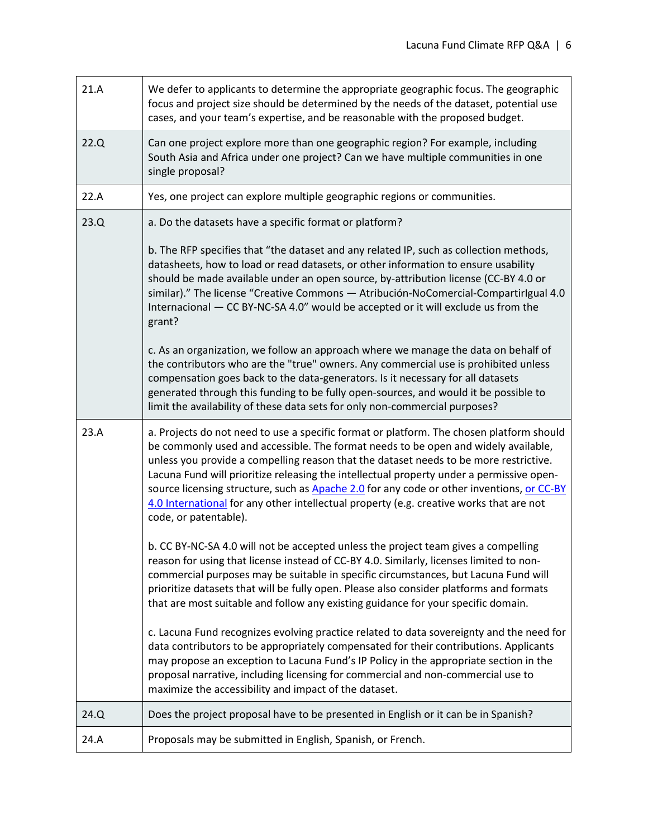| 21.A | We defer to applicants to determine the appropriate geographic focus. The geographic<br>focus and project size should be determined by the needs of the dataset, potential use<br>cases, and your team's expertise, and be reasonable with the proposed budget.                                                                                                                                                                                                                                                                                                                                                                                                                                                                                                                                                                                                              |
|------|------------------------------------------------------------------------------------------------------------------------------------------------------------------------------------------------------------------------------------------------------------------------------------------------------------------------------------------------------------------------------------------------------------------------------------------------------------------------------------------------------------------------------------------------------------------------------------------------------------------------------------------------------------------------------------------------------------------------------------------------------------------------------------------------------------------------------------------------------------------------------|
| 22.Q | Can one project explore more than one geographic region? For example, including<br>South Asia and Africa under one project? Can we have multiple communities in one<br>single proposal?                                                                                                                                                                                                                                                                                                                                                                                                                                                                                                                                                                                                                                                                                      |
| 22.A | Yes, one project can explore multiple geographic regions or communities.                                                                                                                                                                                                                                                                                                                                                                                                                                                                                                                                                                                                                                                                                                                                                                                                     |
| 23.Q | a. Do the datasets have a specific format or platform?<br>b. The RFP specifies that "the dataset and any related IP, such as collection methods,<br>datasheets, how to load or read datasets, or other information to ensure usability<br>should be made available under an open source, by-attribution license (CC-BY 4.0 or<br>similar)." The license "Creative Commons - Atribución-NoComercial-CompartirIgual 4.0<br>Internacional - CC BY-NC-SA 4.0" would be accepted or it will exclude us from the<br>grant?<br>c. As an organization, we follow an approach where we manage the data on behalf of<br>the contributors who are the "true" owners. Any commercial use is prohibited unless<br>compensation goes back to the data-generators. Is it necessary for all datasets<br>generated through this funding to be fully open-sources, and would it be possible to |
|      | limit the availability of these data sets for only non-commercial purposes?                                                                                                                                                                                                                                                                                                                                                                                                                                                                                                                                                                                                                                                                                                                                                                                                  |
| 23.A | a. Projects do not need to use a specific format or platform. The chosen platform should<br>be commonly used and accessible. The format needs to be open and widely available,<br>unless you provide a compelling reason that the dataset needs to be more restrictive.<br>Lacuna Fund will prioritize releasing the intellectual property under a permissive open-<br>source licensing structure, such as Apache 2.0 for any code or other inventions, or CC-BY<br>4.0 International for any other intellectual property (e.g. creative works that are not<br>code, or patentable).                                                                                                                                                                                                                                                                                         |
|      | b. CC BY-NC-SA 4.0 will not be accepted unless the project team gives a compelling<br>reason for using that license instead of CC-BY 4.0. Similarly, licenses limited to non-<br>commercial purposes may be suitable in specific circumstances, but Lacuna Fund will<br>prioritize datasets that will be fully open. Please also consider platforms and formats<br>that are most suitable and follow any existing guidance for your specific domain.                                                                                                                                                                                                                                                                                                                                                                                                                         |
|      | c. Lacuna Fund recognizes evolving practice related to data sovereignty and the need for<br>data contributors to be appropriately compensated for their contributions. Applicants<br>may propose an exception to Lacuna Fund's IP Policy in the appropriate section in the<br>proposal narrative, including licensing for commercial and non-commercial use to<br>maximize the accessibility and impact of the dataset.                                                                                                                                                                                                                                                                                                                                                                                                                                                      |
| 24.Q | Does the project proposal have to be presented in English or it can be in Spanish?                                                                                                                                                                                                                                                                                                                                                                                                                                                                                                                                                                                                                                                                                                                                                                                           |
| 24.A | Proposals may be submitted in English, Spanish, or French.                                                                                                                                                                                                                                                                                                                                                                                                                                                                                                                                                                                                                                                                                                                                                                                                                   |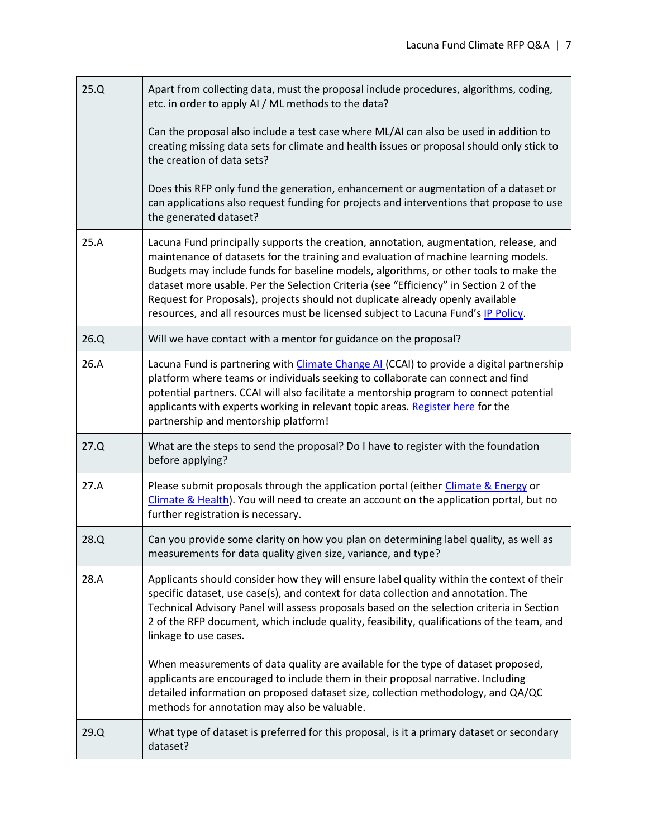| 25.Q | Apart from collecting data, must the proposal include procedures, algorithms, coding,<br>etc. in order to apply AI / ML methods to the data?                                                                                                                                                                                                                                                                                                                                                                                          |
|------|---------------------------------------------------------------------------------------------------------------------------------------------------------------------------------------------------------------------------------------------------------------------------------------------------------------------------------------------------------------------------------------------------------------------------------------------------------------------------------------------------------------------------------------|
|      | Can the proposal also include a test case where ML/AI can also be used in addition to<br>creating missing data sets for climate and health issues or proposal should only stick to<br>the creation of data sets?                                                                                                                                                                                                                                                                                                                      |
|      | Does this RFP only fund the generation, enhancement or augmentation of a dataset or<br>can applications also request funding for projects and interventions that propose to use<br>the generated dataset?                                                                                                                                                                                                                                                                                                                             |
| 25.A | Lacuna Fund principally supports the creation, annotation, augmentation, release, and<br>maintenance of datasets for the training and evaluation of machine learning models.<br>Budgets may include funds for baseline models, algorithms, or other tools to make the<br>dataset more usable. Per the Selection Criteria (see "Efficiency" in Section 2 of the<br>Request for Proposals), projects should not duplicate already openly available<br>resources, and all resources must be licensed subject to Lacuna Fund's IP Policy. |
| 26.Q | Will we have contact with a mentor for guidance on the proposal?                                                                                                                                                                                                                                                                                                                                                                                                                                                                      |
| 26.A | Lacuna Fund is partnering with Climate Change AI (CCAI) to provide a digital partnership<br>platform where teams or individuals seeking to collaborate can connect and find<br>potential partners. CCAI will also facilitate a mentorship program to connect potential<br>applicants with experts working in relevant topic areas. Register here for the<br>partnership and mentorship platform!                                                                                                                                      |
| 27.Q | What are the steps to send the proposal? Do I have to register with the foundation<br>before applying?                                                                                                                                                                                                                                                                                                                                                                                                                                |
| 27.A | Please submit proposals through the application portal (either Climate & Energy or<br>Climate & Health). You will need to create an account on the application portal, but no<br>further registration is necessary.                                                                                                                                                                                                                                                                                                                   |
| 28.Q | Can you provide some clarity on how you plan on determining label quality, as well as<br>measurements for data quality given size, variance, and type?                                                                                                                                                                                                                                                                                                                                                                                |
| 28.A | Applicants should consider how they will ensure label quality within the context of their<br>specific dataset, use case(s), and context for data collection and annotation. The<br>Technical Advisory Panel will assess proposals based on the selection criteria in Section<br>2 of the RFP document, which include quality, feasibility, qualifications of the team, and<br>linkage to use cases.                                                                                                                                   |
|      | When measurements of data quality are available for the type of dataset proposed,<br>applicants are encouraged to include them in their proposal narrative. Including<br>detailed information on proposed dataset size, collection methodology, and QA/QC<br>methods for annotation may also be valuable.                                                                                                                                                                                                                             |
| 29.Q | What type of dataset is preferred for this proposal, is it a primary dataset or secondary<br>dataset?                                                                                                                                                                                                                                                                                                                                                                                                                                 |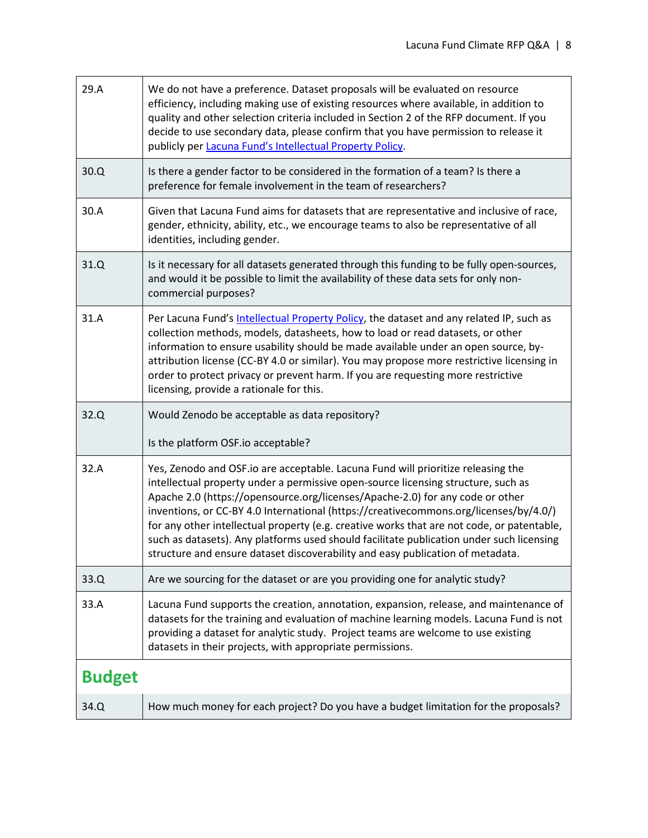| 29.A          | We do not have a preference. Dataset proposals will be evaluated on resource<br>efficiency, including making use of existing resources where available, in addition to<br>quality and other selection criteria included in Section 2 of the RFP document. If you<br>decide to use secondary data, please confirm that you have permission to release it<br>publicly per Lacuna Fund's Intellectual Property Policy.                                                                                                                                                                                                         |
|---------------|-----------------------------------------------------------------------------------------------------------------------------------------------------------------------------------------------------------------------------------------------------------------------------------------------------------------------------------------------------------------------------------------------------------------------------------------------------------------------------------------------------------------------------------------------------------------------------------------------------------------------------|
| 30.Q          | Is there a gender factor to be considered in the formation of a team? Is there a<br>preference for female involvement in the team of researchers?                                                                                                                                                                                                                                                                                                                                                                                                                                                                           |
| 30.A          | Given that Lacuna Fund aims for datasets that are representative and inclusive of race,<br>gender, ethnicity, ability, etc., we encourage teams to also be representative of all<br>identities, including gender.                                                                                                                                                                                                                                                                                                                                                                                                           |
| 31.Q          | Is it necessary for all datasets generated through this funding to be fully open-sources,<br>and would it be possible to limit the availability of these data sets for only non-<br>commercial purposes?                                                                                                                                                                                                                                                                                                                                                                                                                    |
| 31.A          | Per Lacuna Fund's Intellectual Property Policy, the dataset and any related IP, such as<br>collection methods, models, datasheets, how to load or read datasets, or other<br>information to ensure usability should be made available under an open source, by-<br>attribution license (CC-BY 4.0 or similar). You may propose more restrictive licensing in<br>order to protect privacy or prevent harm. If you are requesting more restrictive<br>licensing, provide a rationale for this.                                                                                                                                |
| 32.Q          | Would Zenodo be acceptable as data repository?<br>Is the platform OSF.io acceptable?                                                                                                                                                                                                                                                                                                                                                                                                                                                                                                                                        |
| 32.A          | Yes, Zenodo and OSF.io are acceptable. Lacuna Fund will prioritize releasing the<br>intellectual property under a permissive open-source licensing structure, such as<br>Apache 2.0 (https://opensource.org/licenses/Apache-2.0) for any code or other<br>inventions, or CC-BY 4.0 International (https://creativecommons.org/licenses/by/4.0/)<br>for any other intellectual property (e.g. creative works that are not code, or patentable,<br>such as datasets). Any platforms used should facilitate publication under such licensing<br>structure and ensure dataset discoverability and easy publication of metadata. |
| 33.Q          | Are we sourcing for the dataset or are you providing one for analytic study?                                                                                                                                                                                                                                                                                                                                                                                                                                                                                                                                                |
| 33.A          | Lacuna Fund supports the creation, annotation, expansion, release, and maintenance of<br>datasets for the training and evaluation of machine learning models. Lacuna Fund is not<br>providing a dataset for analytic study. Project teams are welcome to use existing<br>datasets in their projects, with appropriate permissions.                                                                                                                                                                                                                                                                                          |
| <b>Budget</b> |                                                                                                                                                                                                                                                                                                                                                                                                                                                                                                                                                                                                                             |
| 34.Q          | How much money for each project? Do you have a budget limitation for the proposals?                                                                                                                                                                                                                                                                                                                                                                                                                                                                                                                                         |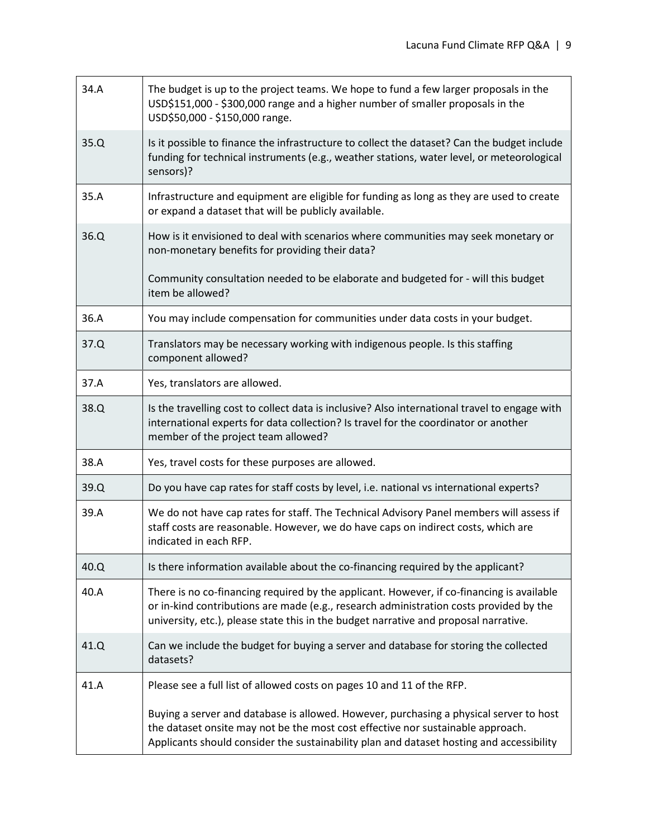| 34.A | The budget is up to the project teams. We hope to fund a few larger proposals in the<br>USD\$151,000 - \$300,000 range and a higher number of smaller proposals in the<br>USD\$50,000 - \$150,000 range.                                                                    |
|------|-----------------------------------------------------------------------------------------------------------------------------------------------------------------------------------------------------------------------------------------------------------------------------|
| 35.Q | Is it possible to finance the infrastructure to collect the dataset? Can the budget include<br>funding for technical instruments (e.g., weather stations, water level, or meteorological<br>sensors)?                                                                       |
| 35.A | Infrastructure and equipment are eligible for funding as long as they are used to create<br>or expand a dataset that will be publicly available.                                                                                                                            |
| 36.Q | How is it envisioned to deal with scenarios where communities may seek monetary or<br>non-monetary benefits for providing their data?                                                                                                                                       |
|      | Community consultation needed to be elaborate and budgeted for - will this budget<br>item be allowed?                                                                                                                                                                       |
| 36.A | You may include compensation for communities under data costs in your budget.                                                                                                                                                                                               |
| 37.Q | Translators may be necessary working with indigenous people. Is this staffing<br>component allowed?                                                                                                                                                                         |
| 37.A | Yes, translators are allowed.                                                                                                                                                                                                                                               |
| 38.Q | Is the travelling cost to collect data is inclusive? Also international travel to engage with<br>international experts for data collection? Is travel for the coordinator or another<br>member of the project team allowed?                                                 |
| 38.A | Yes, travel costs for these purposes are allowed.                                                                                                                                                                                                                           |
| 39.Q | Do you have cap rates for staff costs by level, i.e. national vs international experts?                                                                                                                                                                                     |
| 39.A | We do not have cap rates for staff. The Technical Advisory Panel members will assess if<br>staff costs are reasonable. However, we do have caps on indirect costs, which are<br>indicated in each RFP.                                                                      |
| 40.Q | Is there information available about the co-financing required by the applicant?                                                                                                                                                                                            |
| 40.A | There is no co-financing required by the applicant. However, if co-financing is available<br>or in-kind contributions are made (e.g., research administration costs provided by the<br>university, etc.), please state this in the budget narrative and proposal narrative. |
| 41.Q | Can we include the budget for buying a server and database for storing the collected<br>datasets?                                                                                                                                                                           |
| 41.A | Please see a full list of allowed costs on pages 10 and 11 of the RFP.                                                                                                                                                                                                      |
|      | Buying a server and database is allowed. However, purchasing a physical server to host<br>the dataset onsite may not be the most cost effective nor sustainable approach.<br>Applicants should consider the sustainability plan and dataset hosting and accessibility       |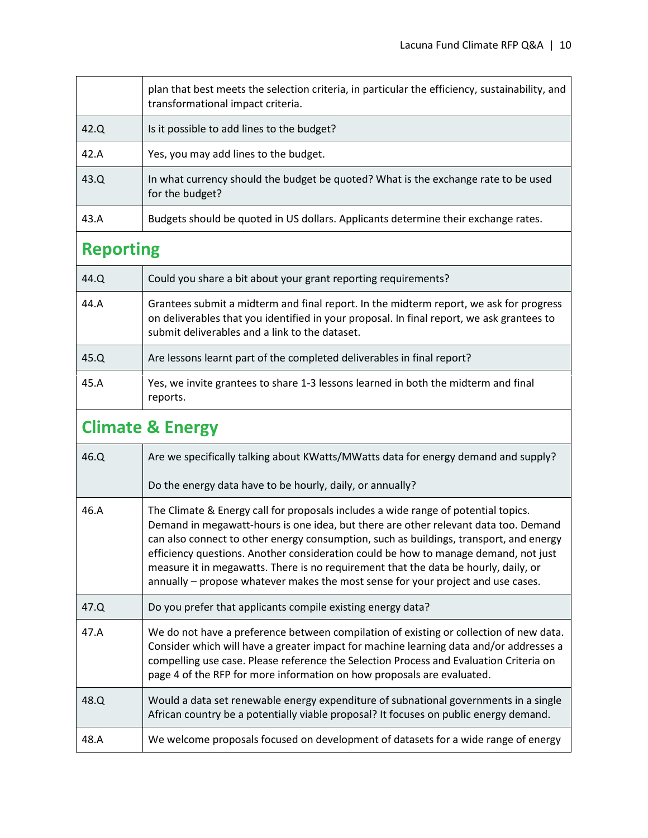|                             | plan that best meets the selection criteria, in particular the efficiency, sustainability, and<br>transformational impact criteria.                                                                                                   |  |
|-----------------------------|---------------------------------------------------------------------------------------------------------------------------------------------------------------------------------------------------------------------------------------|--|
| 42.Q                        | Is it possible to add lines to the budget?                                                                                                                                                                                            |  |
| 42.A                        | Yes, you may add lines to the budget.                                                                                                                                                                                                 |  |
| 43.Q                        | In what currency should the budget be quoted? What is the exchange rate to be used<br>for the budget?                                                                                                                                 |  |
| 43.A                        | Budgets should be quoted in US dollars. Applicants determine their exchange rates.                                                                                                                                                    |  |
| <b>Reporting</b>            |                                                                                                                                                                                                                                       |  |
| 44.Q                        | Could you share a bit about your grant reporting requirements?                                                                                                                                                                        |  |
| 44.A                        | Grantees submit a midterm and final report. In the midterm report, we ask for progress<br>on deliverables that you identified in your proposal. In final report, we ask grantees to<br>submit deliverables and a link to the dataset. |  |
| 45.Q                        | Are lessons learnt part of the completed deliverables in final report?                                                                                                                                                                |  |
| 45.A                        | Yes, we invite grantees to share 1-3 lessons learned in both the midterm and final<br>reports.                                                                                                                                        |  |
| <b>Climate &amp; Energy</b> |                                                                                                                                                                                                                                       |  |

| 46.Q | Are we specifically talking about KWatts/MWatts data for energy demand and supply?                                                                                                                                                                                                                                                                                                                                                                                                                                                    |
|------|---------------------------------------------------------------------------------------------------------------------------------------------------------------------------------------------------------------------------------------------------------------------------------------------------------------------------------------------------------------------------------------------------------------------------------------------------------------------------------------------------------------------------------------|
|      | Do the energy data have to be hourly, daily, or annually?                                                                                                                                                                                                                                                                                                                                                                                                                                                                             |
| 46.A | The Climate & Energy call for proposals includes a wide range of potential topics.<br>Demand in megawatt-hours is one idea, but there are other relevant data too. Demand<br>can also connect to other energy consumption, such as buildings, transport, and energy<br>efficiency questions. Another consideration could be how to manage demand, not just<br>measure it in megawatts. There is no requirement that the data be hourly, daily, or<br>annually - propose whatever makes the most sense for your project and use cases. |
|      |                                                                                                                                                                                                                                                                                                                                                                                                                                                                                                                                       |
| 47.Q | Do you prefer that applicants compile existing energy data?                                                                                                                                                                                                                                                                                                                                                                                                                                                                           |
| 47.A | We do not have a preference between compilation of existing or collection of new data.<br>Consider which will have a greater impact for machine learning data and/or addresses a<br>compelling use case. Please reference the Selection Process and Evaluation Criteria on<br>page 4 of the RFP for more information on how proposals are evaluated.                                                                                                                                                                                  |
| 48.Q | Would a data set renewable energy expenditure of subnational governments in a single<br>African country be a potentially viable proposal? It focuses on public energy demand.                                                                                                                                                                                                                                                                                                                                                         |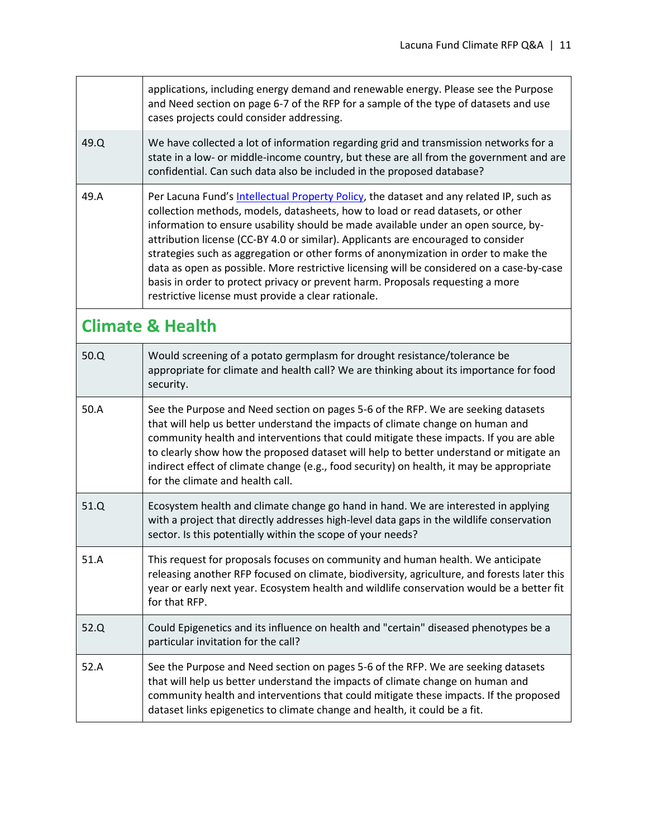|                             | applications, including energy demand and renewable energy. Please see the Purpose<br>and Need section on page 6-7 of the RFP for a sample of the type of datasets and use<br>cases projects could consider addressing.                                                                                                                                                                                                                                                                                                                                                                                                                                                           |
|-----------------------------|-----------------------------------------------------------------------------------------------------------------------------------------------------------------------------------------------------------------------------------------------------------------------------------------------------------------------------------------------------------------------------------------------------------------------------------------------------------------------------------------------------------------------------------------------------------------------------------------------------------------------------------------------------------------------------------|
| 49.Q                        | We have collected a lot of information regarding grid and transmission networks for a<br>state in a low- or middle-income country, but these are all from the government and are<br>confidential. Can such data also be included in the proposed database?                                                                                                                                                                                                                                                                                                                                                                                                                        |
| 49.A                        | Per Lacuna Fund's Intellectual Property Policy, the dataset and any related IP, such as<br>collection methods, models, datasheets, how to load or read datasets, or other<br>information to ensure usability should be made available under an open source, by-<br>attribution license (CC-BY 4.0 or similar). Applicants are encouraged to consider<br>strategies such as aggregation or other forms of anonymization in order to make the<br>data as open as possible. More restrictive licensing will be considered on a case-by-case<br>basis in order to protect privacy or prevent harm. Proposals requesting a more<br>restrictive license must provide a clear rationale. |
| <b>Climate &amp; Health</b> |                                                                                                                                                                                                                                                                                                                                                                                                                                                                                                                                                                                                                                                                                   |
| 50.0                        | Would screening of a potato germplasm for drought resistance/tolerance be<br>appropriate for climate and health call? We are thinking about its importance for food<br>security.                                                                                                                                                                                                                                                                                                                                                                                                                                                                                                  |
| 50.A                        | See the Purpose and Need section on pages 5-6 of the RFP. We are seeking datasets<br>that will help us better understand the impacts of climate change on human and<br>community health and interventions that could mitigate these impacts. If you are able<br>to clearly show how the proposed dataset will help to better understand or mitigate an<br>indirect effect of climate change (e.g., food security) on health, it may be appropriate<br>for the climate and health call.                                                                                                                                                                                            |
| 51.Q                        | Ecosystem health and climate change go hand in hand. We are interested in applying<br>with a project that directly addresses high-level data gaps in the wildlife conservation<br>sector. Is this potentially within the scope of your needs?                                                                                                                                                                                                                                                                                                                                                                                                                                     |
| 51.A                        | This request for proposals focuses on community and human health. We anticipate<br>releasing another RFP focused on climate, biodiversity, agriculture, and forests later this<br>year or early next year. Ecosystem health and wildlife conservation would be a better fit<br>for that RFP.                                                                                                                                                                                                                                                                                                                                                                                      |
| 52.Q                        | Could Epigenetics and its influence on health and "certain" diseased phenotypes be a<br>particular invitation for the call?                                                                                                                                                                                                                                                                                                                                                                                                                                                                                                                                                       |
| 52.A                        | See the Purpose and Need section on pages 5-6 of the RFP. We are seeking datasets<br>that will help us better understand the impacts of climate change on human and<br>community health and interventions that could mitigate these impacts. If the proposed<br>dataset links epigenetics to climate change and health, it could be a fit.                                                                                                                                                                                                                                                                                                                                        |